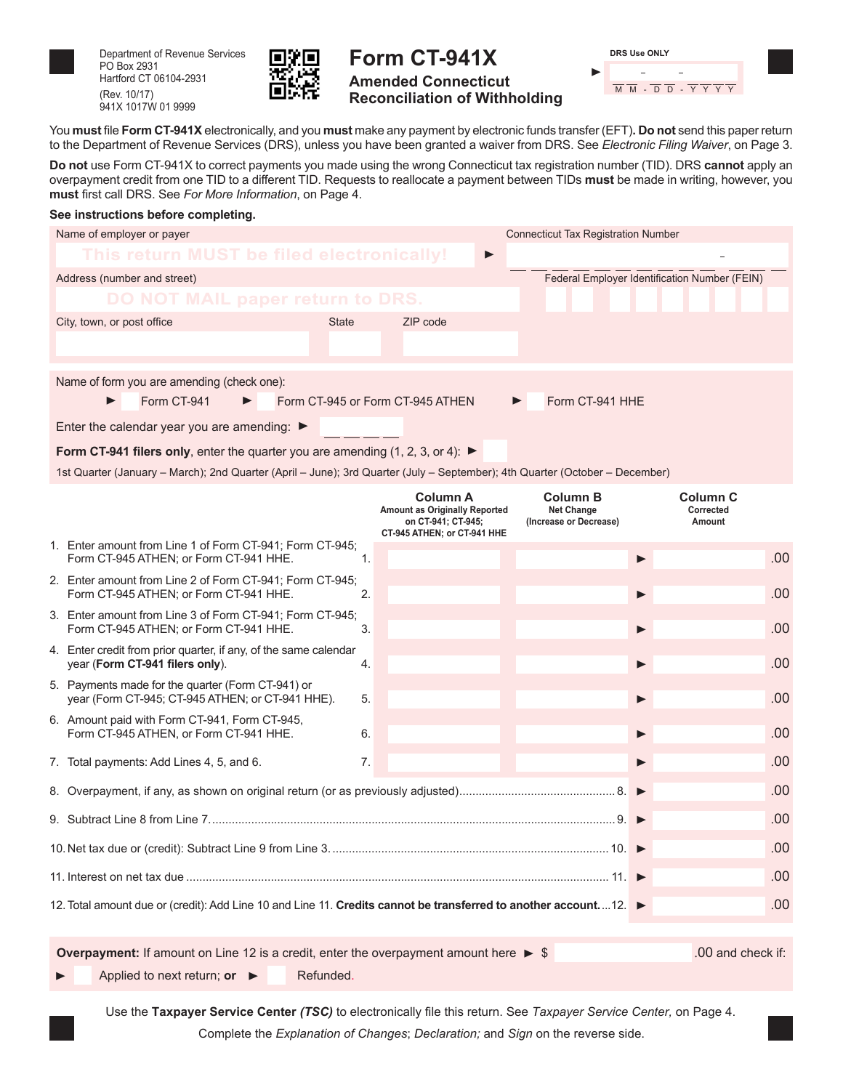

Department of Revenue Services PO Box 2931 Hartford CT 06104-2931 (Rev. 10/17) 941X 1017W 01 9999



## **Form CT-941X Amended Connecticut Reconciliation of Withholding**

| <b>DRS Use ONLY</b> |  |
|---------------------|--|
|                     |  |
| M M - D D - Y Y Y Y |  |

You **must** file **Form CT-941X** electronically, and you **must** make any payment by electronic funds transfer (EFT)**. Do not** send this paper return to the Department of Revenue Services (DRS), unless you have been granted a waiver from DRS. See *Electronic Filing Waiver*, on Page 3.

**Do not** use Form CT-941X to correct payments you made using the wrong Connecticut tax registration number (TID). DRS **cannot** apply an overpayment credit from one TID to a different TID. Requests to reallocate a payment between TIDs **must** be made in writing, however, you **must** first call DRS. See *For More Information*, on Page 4.

|   | See instructions before completing.                                                                                                                                                                            |                |                                                                                                              |   |                                                         |                                            |     |  |
|---|----------------------------------------------------------------------------------------------------------------------------------------------------------------------------------------------------------------|----------------|--------------------------------------------------------------------------------------------------------------|---|---------------------------------------------------------|--------------------------------------------|-----|--|
|   | Name of employer or payer                                                                                                                                                                                      |                |                                                                                                              |   | <b>Connecticut Tax Registration Number</b>              |                                            |     |  |
|   | This return MUST be filed electronically!                                                                                                                                                                      |                |                                                                                                              | ▶ |                                                         |                                            |     |  |
|   | Address (number and street)                                                                                                                                                                                    |                | Federal Employer Identification Number (FEIN)                                                                |   |                                                         |                                            |     |  |
|   | DO NOT MAIL paper return to DRS.                                                                                                                                                                               |                |                                                                                                              |   |                                                         |                                            |     |  |
|   | City, town, or post office                                                                                                                                                                                     | <b>State</b>   | ZIP code                                                                                                     |   |                                                         |                                            |     |  |
|   | Name of form you are amending (check one):<br>Form CT-941                                                                                                                                                      |                | Form CT-945 or Form CT-945 ATHEN                                                                             |   | Form CT-941 HHE                                         |                                            |     |  |
|   | Enter the calendar year you are amending: $\blacktriangleright$                                                                                                                                                |                |                                                                                                              |   |                                                         |                                            |     |  |
|   |                                                                                                                                                                                                                |                |                                                                                                              |   |                                                         |                                            |     |  |
|   | Form CT-941 filers only, enter the quarter you are amending $(1, 2, 3, 0, 4)$ :<br>1st Quarter (January – March); 2nd Quarter (April – June); 3rd Quarter (July – September); 4th Quarter (October – December) |                |                                                                                                              |   |                                                         |                                            |     |  |
|   |                                                                                                                                                                                                                |                | <b>Column A</b><br><b>Amount as Originally Reported</b><br>on CT-941; CT-945;<br>CT-945 ATHEN; or CT-941 HHE |   | Column B<br><b>Net Change</b><br>(Increase or Decrease) | Column <sub>C</sub><br>Corrected<br>Amount |     |  |
|   | 1. Enter amount from Line 1 of Form CT-941; Form CT-945;<br>Form CT-945 ATHEN; or Form CT-941 HHE.                                                                                                             | $\mathbf{1}$ . |                                                                                                              |   | ▶                                                       |                                            | .00 |  |
|   | 2. Enter amount from Line 2 of Form CT-941; Form CT-945;<br>Form CT-945 ATHEN; or Form CT-941 HHE.                                                                                                             | 2.             |                                                                                                              |   | $\blacktriangleright$                                   |                                            | .00 |  |
|   | 3. Enter amount from Line 3 of Form CT-941; Form CT-945;<br>Form CT-945 ATHEN; or Form CT-941 HHE.                                                                                                             | 3.             |                                                                                                              |   | ▶                                                       |                                            | .00 |  |
|   | 4. Enter credit from prior quarter, if any, of the same calendar<br>year (Form CT-941 filers only).                                                                                                            | 4.             |                                                                                                              |   | $\blacktriangleright$                                   |                                            | .00 |  |
|   | 5. Payments made for the quarter (Form CT-941) or<br>year (Form CT-945; CT-945 ATHEN; or CT-941 HHE).                                                                                                          | 5.             |                                                                                                              |   | ▶                                                       |                                            | .00 |  |
|   | 6. Amount paid with Form CT-941, Form CT-945,<br>Form CT-945 ATHEN, or Form CT-941 HHE.                                                                                                                        | 6.             |                                                                                                              |   | ▶                                                       |                                            | .00 |  |
|   | 7. Total payments: Add Lines 4, 5, and 6.                                                                                                                                                                      | 7.             |                                                                                                              |   | ▶                                                       |                                            | .00 |  |
| ▶ |                                                                                                                                                                                                                |                |                                                                                                              |   |                                                         |                                            | .00 |  |
|   |                                                                                                                                                                                                                |                |                                                                                                              |   |                                                         |                                            | .00 |  |
|   |                                                                                                                                                                                                                | .00            |                                                                                                              |   |                                                         |                                            |     |  |
|   | .00                                                                                                                                                                                                            |                |                                                                                                              |   |                                                         |                                            |     |  |
|   | .00<br>12. Total amount due or (credit): Add Line 10 and Line 11. Credits cannot be transferred to another account.  12.                                                                                       |                |                                                                                                              |   |                                                         |                                            |     |  |
|   | <b>Overpayment:</b> If amount on Line 12 is a credit, enter the overpayment amount here $\triangleright$ \$                                                                                                    |                |                                                                                                              |   |                                                         | .00 and check if:                          |     |  |

Applied to next return; or  $\rightarrow$  Refunded.

Use the **Taxpayer Service Center** *(TSC)* to electronically file this return. See *Taxpayer Service Center,* on Page 4.

Complete the *Explanation of Changes*; *Declaration;* and *Sign* on the reverse side.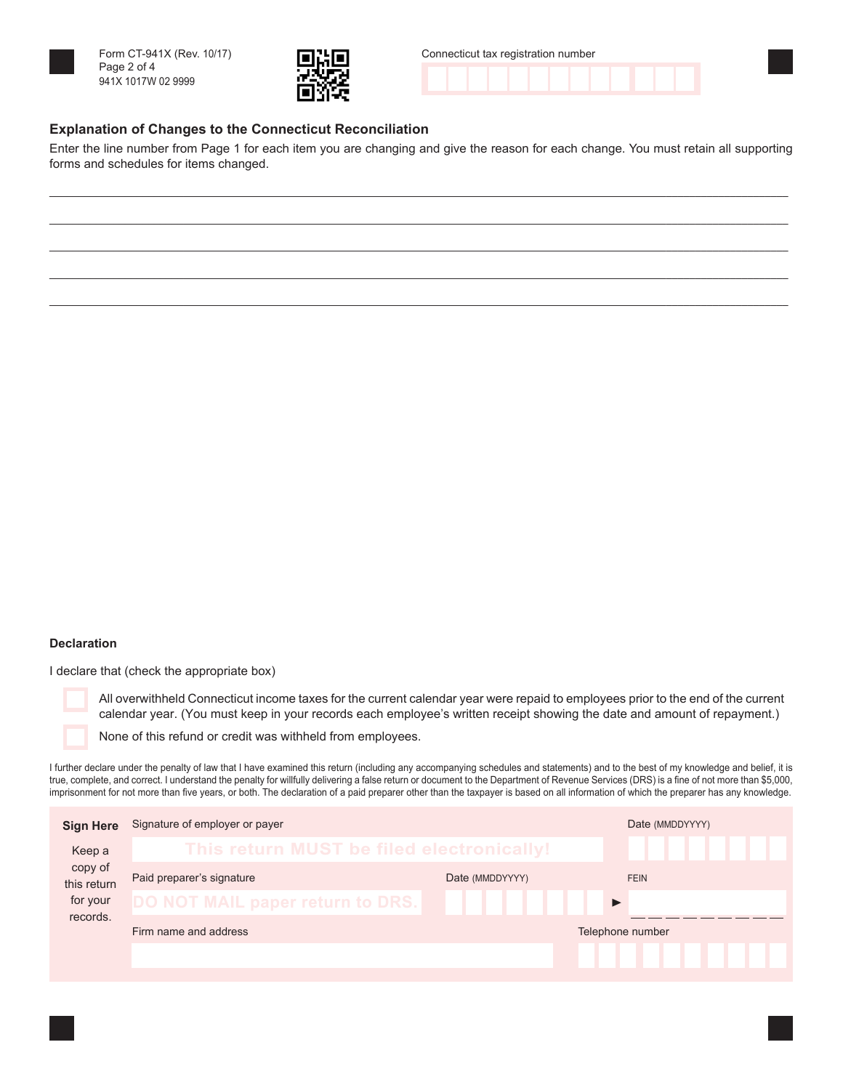



| Connecticut tax registration number |  |  |  |  |  |  |  |  |  |  |  |  |  |
|-------------------------------------|--|--|--|--|--|--|--|--|--|--|--|--|--|
|                                     |  |  |  |  |  |  |  |  |  |  |  |  |  |

### **Explanation of Changes to the Connecticut Reconciliation**

Enter the line number from Page 1 for each item you are changing and give the reason for each change. You must retain all supporting forms and schedules for items changed.

\_\_\_\_\_\_\_\_\_\_\_\_\_\_\_\_\_\_\_\_\_\_\_\_\_\_\_\_\_\_\_\_\_\_\_\_\_\_\_\_\_\_\_\_\_\_\_\_\_\_\_\_\_\_\_\_\_\_\_\_\_\_\_\_\_\_\_\_\_\_\_\_\_\_\_\_\_\_\_\_\_\_\_\_\_\_\_\_\_\_\_\_\_\_\_\_\_\_\_\_\_\_\_\_\_\_\_\_\_\_\_\_\_\_\_\_\_\_\_\_\_\_\_\_\_\_\_ \_\_\_\_\_\_\_\_\_\_\_\_\_\_\_\_\_\_\_\_\_\_\_\_\_\_\_\_\_\_\_\_\_\_\_\_\_\_\_\_\_\_\_\_\_\_\_\_\_\_\_\_\_\_\_\_\_\_\_\_\_\_\_\_\_\_\_\_\_\_\_\_\_\_\_\_\_\_\_\_\_\_\_\_\_\_\_\_\_\_\_\_\_\_\_\_\_\_\_\_\_\_\_\_\_\_\_\_\_\_\_\_\_\_\_\_\_\_\_\_\_\_\_\_\_\_\_ \_\_\_\_\_\_\_\_\_\_\_\_\_\_\_\_\_\_\_\_\_\_\_\_\_\_\_\_\_\_\_\_\_\_\_\_\_\_\_\_\_\_\_\_\_\_\_\_\_\_\_\_\_\_\_\_\_\_\_\_\_\_\_\_\_\_\_\_\_\_\_\_\_\_\_\_\_\_\_\_\_\_\_\_\_\_\_\_\_\_\_\_\_\_\_\_\_\_\_\_\_\_\_\_\_\_\_\_\_\_\_\_\_\_\_\_\_\_\_\_\_\_\_\_\_\_\_ \_\_\_\_\_\_\_\_\_\_\_\_\_\_\_\_\_\_\_\_\_\_\_\_\_\_\_\_\_\_\_\_\_\_\_\_\_\_\_\_\_\_\_\_\_\_\_\_\_\_\_\_\_\_\_\_\_\_\_\_\_\_\_\_\_\_\_\_\_\_\_\_\_\_\_\_\_\_\_\_\_\_\_\_\_\_\_\_\_\_\_\_\_\_\_\_\_\_\_\_\_\_\_\_\_\_\_\_\_\_\_\_\_\_\_\_\_\_\_\_\_\_\_\_\_\_\_ \_\_\_\_\_\_\_\_\_\_\_\_\_\_\_\_\_\_\_\_\_\_\_\_\_\_\_\_\_\_\_\_\_\_\_\_\_\_\_\_\_\_\_\_\_\_\_\_\_\_\_\_\_\_\_\_\_\_\_\_\_\_\_\_\_\_\_\_\_\_\_\_\_\_\_\_\_\_\_\_\_\_\_\_\_\_\_\_\_\_\_\_\_\_\_\_\_\_\_\_\_\_\_\_\_\_\_\_\_\_\_\_\_\_\_\_\_\_\_\_\_\_\_\_\_\_\_

#### **Declaration**

I declare that (check the appropriate box)

All overwithheld Connecticut income taxes for the current calendar year were repaid to employees prior to the end of the current calendar year. (You must keep in your records each employee's written receipt showing the date and amount of repayment.)

None of this refund or credit was withheld from employees.

I further declare under the penalty of law that I have examined this return (including any accompanying schedules and statements) and to the best of my knowledge and belief, it is true, complete, and correct. I understand the penalty for willfully delivering a false return or document to the Department of Revenue Services (DRS) is a fine of not more than \$5,000, imprisonment for not more than five years, or both. The declaration of a paid preparer other than the taxpayer is based on all information of which the preparer has any knowledge.

| <b>Sign Here</b>       | Signature of employer or payer            |                  | Date (MMDDYYYY) |
|------------------------|-------------------------------------------|------------------|-----------------|
| Keep a                 | This return MUST be filed electronically! |                  |                 |
| copy of<br>this return | Paid preparer's signature                 | Date (MMDDYYYY)  | <b>FEIN</b>     |
| for your<br>records.   | DO NOT MAIL paper return to DRS.          |                  |                 |
|                        | Firm name and address                     | Telephone number |                 |
|                        |                                           |                  |                 |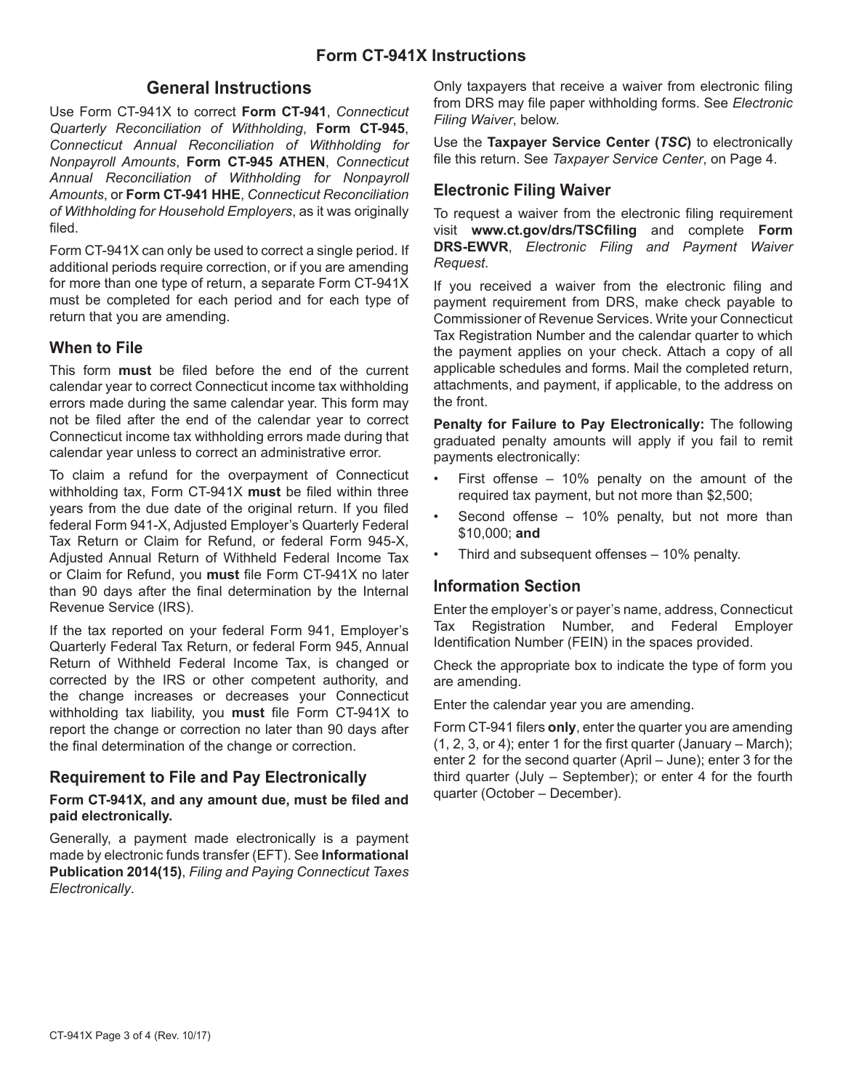## **General Instructions**

Use Form CT-941X to correct **Form CT-941**, *Connecticut Quarterly Reconciliation of Withholding*, **Form CT-945**, *Connecticut Annual Reconciliation of Withholding for Nonpayroll Amounts*, **Form CT-945 ATHEN**, *Connecticut Annual Reconciliation of Withholding for Nonpayroll Amounts*, or **Form CT-941 HHE**, *Connecticut Reconciliation of Withholding for Household Employers*, as it was originally filed.

Form CT-941X can only be used to correct a single period. If additional periods require correction, or if you are amending for more than one type of return, a separate Form CT-941X must be completed for each period and for each type of return that you are amending.

### **When to File**

This form **must** be filed before the end of the current calendar year to correct Connecticut income tax withholding errors made during the same calendar year. This form may not be filed after the end of the calendar year to correct Connecticut income tax withholding errors made during that calendar year unless to correct an administrative error.

To claim a refund for the overpayment of Connecticut withholding tax, Form CT-941X **must** be filed within three years from the due date of the original return. If you filed federal Form 941-X, Adjusted Employer's Quarterly Federal Tax Return or Claim for Refund, or federal Form 945-X, Adjusted Annual Return of Withheld Federal Income Tax or Claim for Refund, you **must** file Form CT-941X no later than 90 days after the final determination by the Internal Revenue Service (IRS).

If the tax reported on your federal Form 941, Employer's Quarterly Federal Tax Return, or federal Form 945, Annual Return of Withheld Federal Income Tax, is changed or corrected by the IRS or other competent authority, and the change increases or decreases your Connecticut withholding tax liability, you **must** file Form CT-941X to report the change or correction no later than 90 days after the final determination of the change or correction.

## **Requirement to File and Pay Electronically**

#### **Form CT-941X, and any amount due, must be filed and paid electronically.**

Generally, a payment made electronically is a payment made by electronic funds transfer (EFT). See **Informational Publication 2014(15)**, *Filing and Paying Connecticut Taxes Electronically*.

Only taxpayers that receive a waiver from electronic filing from DRS may file paper withholding forms. See *Electronic Filing Waiver*, below.

Use the **Taxpayer Service Center (***TSC***)** to electronically file this return. See *Taxpayer Service Center*, on Page 4.

## **Electronic Filing Waiver**

To request a waiver from the electronic filing requirement visit **www.ct.gov/drs/TSCfiling** and complete **Form DRS-EWVR**, *Electronic Filing and Payment Waiver Request*.

If you received a waiver from the electronic filing and payment requirement from DRS, make check payable to Commissioner of Revenue Services. Write your Connecticut Tax Registration Number and the calendar quarter to which the payment applies on your check. Attach a copy of all applicable schedules and forms. Mail the completed return, attachments, and payment, if applicable, to the address on the front.

**Penalty for Failure to Pay Electronically:** The following graduated penalty amounts will apply if you fail to remit payments electronically:

- First offense  $-$  10% penalty on the amount of the required tax payment, but not more than \$2,500;
- Second offense  $-10\%$  penalty, but not more than \$10,000; **and**
- Third and subsequent offenses 10% penalty.

### **Information Section**

Enter the employer's or payer's name, address, Connecticut Tax Registration Number, and Federal Employer Identification Number (FEIN) in the spaces provided.

Check the appropriate box to indicate the type of form you are amending.

Enter the calendar year you are amending.

Form CT-941 filers **only**, enter the quarter you are amending (1, 2, 3, or 4); enter 1 for the first quarter (January – March); enter 2 for the second quarter (April – June); enter 3 for the third quarter (July – September); or enter 4 for the fourth quarter (October – December).